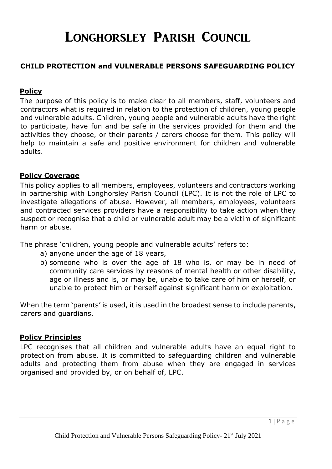# Longhorsley Parish Council

## **CHILD PROTECTION and VULNERABLE PERSONS SAFEGUARDING POLICY**

## **Policy**

The purpose of this policy is to make clear to all members, staff, volunteers and contractors what is required in relation to the protection of children, young people and vulnerable adults. Children, young people and vulnerable adults have the right to participate, have fun and be safe in the services provided for them and the activities they choose, or their parents / carers choose for them. This policy will help to maintain a safe and positive environment for children and vulnerable adults.

#### **Policy Coverage**

This policy applies to all members, employees, volunteers and contractors working in partnership with Longhorsley Parish Council (LPC). It is not the role of LPC to investigate allegations of abuse. However, all members, employees, volunteers and contracted services providers have a responsibility to take action when they suspect or recognise that a child or vulnerable adult may be a victim of significant harm or abuse.

The phrase 'children, young people and vulnerable adults' refers to:

- a) anyone under the age of 18 years,
- b) someone who is over the age of 18 who is, or may be in need of community care services by reasons of mental health or other disability, age or illness and is, or may be, unable to take care of him or herself, or unable to protect him or herself against significant harm or exploitation.

When the term 'parents' is used, it is used in the broadest sense to include parents, carers and guardians.

#### **Policy Principles**

LPC recognises that all children and vulnerable adults have an equal right to protection from abuse. It is committed to safeguarding children and vulnerable adults and protecting them from abuse when they are engaged in services organised and provided by, or on behalf of, LPC.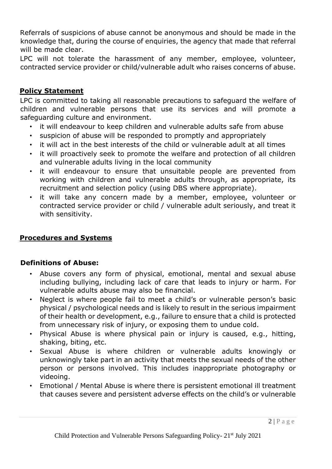Referrals of suspicions of abuse cannot be anonymous and should be made in the knowledge that, during the course of enquiries, the agency that made that referral will be made clear.

LPC will not tolerate the harassment of any member, employee, volunteer, contracted service provider or child/vulnerable adult who raises concerns of abuse.

## **Policy Statement**

LPC is committed to taking all reasonable precautions to safeguard the welfare of children and vulnerable persons that use its services and will promote a safeguarding culture and environment.

- it will endeavour to keep children and vulnerable adults safe from abuse
- suspicion of abuse will be responded to promptly and appropriately
- it will act in the best interests of the child or vulnerable adult at all times
- it will proactively seek to promote the welfare and protection of all children and vulnerable adults living in the local community
- it will endeavour to ensure that unsuitable people are prevented from working with children and vulnerable adults through, as appropriate, its recruitment and selection policy (using DBS where appropriate).
- it will take any concern made by a member, employee, volunteer or contracted service provider or child / vulnerable adult seriously, and treat it with sensitivity.

### **Procedures and Systems**

#### **Definitions of Abuse:**

- Abuse covers any form of physical, emotional, mental and sexual abuse including bullying, including lack of care that leads to injury or harm. For vulnerable adults abuse may also be financial.
- Neglect is where people fail to meet a child's or vulnerable person's basic physical / psychological needs and is likely to result in the serious impairment of their health or development, e.g., failure to ensure that a child is protected from unnecessary risk of injury, or exposing them to undue cold.
- Physical Abuse is where physical pain or injury is caused, e.g., hitting, shaking, biting, etc.
- Sexual Abuse is where children or vulnerable adults knowingly or unknowingly take part in an activity that meets the sexual needs of the other person or persons involved. This includes inappropriate photography or videoing.
- Emotional / Mental Abuse is where there is persistent emotional ill treatment that causes severe and persistent adverse effects on the child's or vulnerable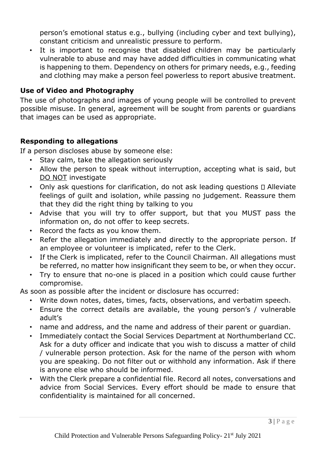person's emotional status e.g., bullying (including cyber and text bullying), constant criticism and unrealistic pressure to perform.

• It is important to recognise that disabled children may be particularly vulnerable to abuse and may have added difficulties in communicating what is happening to them. Dependency on others for primary needs, e.g., feeding and clothing may make a person feel powerless to report abusive treatment.

### **Use of Video and Photography**

The use of photographs and images of young people will be controlled to prevent possible misuse. In general, agreement will be sought from parents or guardians that images can be used as appropriate.

## **Responding to allegations**

If a person discloses abuse by someone else:

- Stay calm, take the allegation seriously
- Allow the person to speak without interruption, accepting what is said, but DO NOT investigate
- Only ask questions for clarification, do not ask leading questions  $\square$  Alleviate feelings of guilt and isolation, while passing no judgement. Reassure them that they did the right thing by talking to you
- Advise that you will try to offer support, but that you MUST pass the information on, do not offer to keep secrets.
- Record the facts as you know them.
- Refer the allegation immediately and directly to the appropriate person. If an employee or volunteer is implicated, refer to the Clerk.
- If the Clerk is implicated, refer to the Council Chairman. All allegations must be referred, no matter how insignificant they seem to be, or when they occur.
- Try to ensure that no-one is placed in a position which could cause further compromise.

As soon as possible after the incident or disclosure has occurred:

- Write down notes, dates, times, facts, observations, and verbatim speech.
- Ensure the correct details are available, the young person's / vulnerable adult's
- name and address, and the name and address of their parent or guardian.
- Immediately contact the Social Services Department at Northumberland CC. Ask for a duty officer and indicate that you wish to discuss a matter of child / vulnerable person protection. Ask for the name of the person with whom you are speaking. Do not filter out or withhold any information. Ask if there is anyone else who should be informed.
- With the Clerk prepare a confidential file. Record all notes, conversations and advice from Social Services. Every effort should be made to ensure that confidentiality is maintained for all concerned.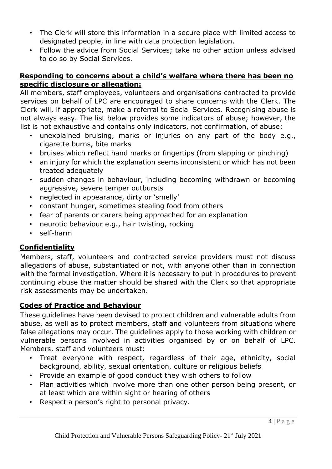- The Clerk will store this information in a secure place with limited access to designated people, in line with data protection legislation.
- Follow the advice from Social Services; take no other action unless advised to do so by Social Services.

## **Responding to concerns about a child's welfare where there has been no specific disclosure or allegation:**

All members, staff employees, volunteers and organisations contracted to provide services on behalf of LPC are encouraged to share concerns with the Clerk. The Clerk will, if appropriate, make a referral to Social Services. Recognising abuse is not always easy. The list below provides some indicators of abuse; however, the list is not exhaustive and contains only indicators, not confirmation, of abuse:

- unexplained bruising, marks or injuries on any part of the body e.g., cigarette burns, bite marks
- bruises which reflect hand marks or fingertips (from slapping or pinching)
- an injury for which the explanation seems inconsistent or which has not been treated adequately
- sudden changes in behaviour, including becoming withdrawn or becoming aggressive, severe temper outbursts
- neglected in appearance, dirty or 'smelly'
- constant hunger, sometimes stealing food from others
- fear of parents or carers being approached for an explanation
- neurotic behaviour e.g., hair twisting, rocking
- self-harm

# **Confidentiality**

Members, staff, volunteers and contracted service providers must not discuss allegations of abuse, substantiated or not, with anyone other than in connection with the formal investigation. Where it is necessary to put in procedures to prevent continuing abuse the matter should be shared with the Clerk so that appropriate risk assessments may be undertaken.

# **Codes of Practice and Behaviour**

These guidelines have been devised to protect children and vulnerable adults from abuse, as well as to protect members, staff and volunteers from situations where false allegations may occur. The guidelines apply to those working with children or vulnerable persons involved in activities organised by or on behalf of LPC. Members, staff and volunteers must:

- Treat everyone with respect, regardless of their age, ethnicity, social background, ability, sexual orientation, culture or religious beliefs
- Provide an example of good conduct they wish others to follow
- Plan activities which involve more than one other person being present, or at least which are within sight or hearing of others
- Respect a person's right to personal privacy.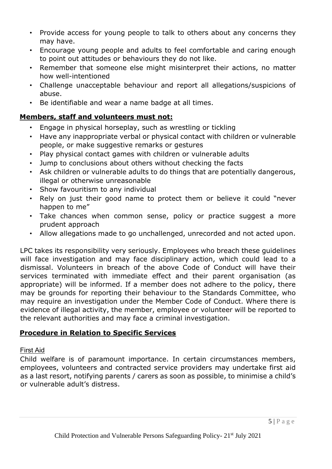- Provide access for young people to talk to others about any concerns they may have.
- Encourage young people and adults to feel comfortable and caring enough to point out attitudes or behaviours they do not like.
- Remember that someone else might misinterpret their actions, no matter how well-intentioned
- Challenge unacceptable behaviour and report all allegations/suspicions of abuse.
- Be identifiable and wear a name badge at all times.

# **Members, staff and volunteers must not:**

- Engage in physical horseplay, such as wrestling or tickling
- Have any inappropriate verbal or physical contact with children or vulnerable people, or make suggestive remarks or gestures
- Play physical contact games with children or vulnerable adults
- Jump to conclusions about others without checking the facts
- Ask children or vulnerable adults to do things that are potentially dangerous, illegal or otherwise unreasonable
- Show favouritism to any individual
- Rely on just their good name to protect them or believe it could "never happen to me"
- Take chances when common sense, policy or practice suggest a more prudent approach
- Allow allegations made to go unchallenged, unrecorded and not acted upon.

LPC takes its responsibility very seriously. Employees who breach these guidelines will face investigation and may face disciplinary action, which could lead to a dismissal. Volunteers in breach of the above Code of Conduct will have their services terminated with immediate effect and their parent organisation (as appropriate) will be informed. If a member does not adhere to the policy, there may be grounds for reporting their behaviour to the Standards Committee, who may require an investigation under the Member Code of Conduct. Where there is evidence of illegal activity, the member, employee or volunteer will be reported to the relevant authorities and may face a criminal investigation.

# **Procedure in Relation to Specific Services**

# First Aid

Child welfare is of paramount importance. In certain circumstances members, employees, volunteers and contracted service providers may undertake first aid as a last resort, notifying parents / carers as soon as possible, to minimise a child's or vulnerable adult's distress.